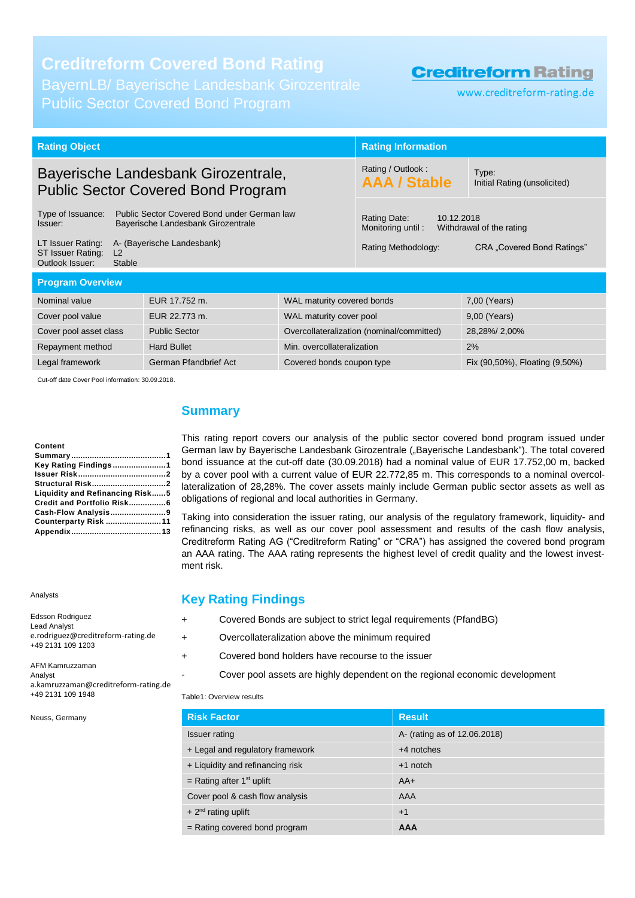Public Sector Covered Bond Program

### **Creditreform Rating**

www.creditreform-rating.de

| <b>Rating Object</b>                                                                                                                                                                   |               | <b>Rating Information</b>                                                                                                        |                                       |                                |  |  |
|----------------------------------------------------------------------------------------------------------------------------------------------------------------------------------------|---------------|----------------------------------------------------------------------------------------------------------------------------------|---------------------------------------|--------------------------------|--|--|
| Bayerische Landesbank Girozentrale,<br><b>Public Sector Covered Bond Program</b>                                                                                                       |               | Rating / Outlook:<br><b>AAA / Stable</b>                                                                                         | Type:<br>Initial Rating (unsolicited) |                                |  |  |
| Type of Issuance:<br>Public Sector Covered Bond under German law<br>Bayerische Landesbank Girozentrale<br>Issuer:<br>A- (Bayerische Landesbank)<br>LT Issuer Rating:<br>L <sub>2</sub> |               | Rating Date:<br>10.12.2018<br>Monitoring until:<br>Withdrawal of the rating<br>Rating Methodology:<br>CRA "Covered Bond Ratings" |                                       |                                |  |  |
| ST Issuer Rating:<br>Outlook Issuer:<br><b>Stable</b>                                                                                                                                  |               |                                                                                                                                  |                                       |                                |  |  |
| <b>Program Overview</b>                                                                                                                                                                |               |                                                                                                                                  |                                       |                                |  |  |
| Nominal value                                                                                                                                                                          | EUR 17.752 m. | WAL maturity covered bonds                                                                                                       |                                       | 7,00 (Years)                   |  |  |
| Cover pool value                                                                                                                                                                       | EUR 22.773 m. | WAL maturity cover pool                                                                                                          |                                       | 9,00 (Years)                   |  |  |
| Cover pool asset class<br><b>Public Sector</b>                                                                                                                                         |               | Overcollateralization (nominal/committed)                                                                                        | 28,28%/2,00%                          |                                |  |  |
| <b>Hard Bullet</b><br>Min. overcollateralization<br>Repayment method                                                                                                                   |               |                                                                                                                                  | 2%                                    |                                |  |  |
| German Pfandbrief Act<br>Legal framework                                                                                                                                               |               | Covered bonds coupon type                                                                                                        |                                       | Fix (90,50%), Floating (9,50%) |  |  |
| $\alpha$ , $\alpha$ , $\alpha$ , $\alpha$ , $\alpha$ , $\alpha$ , $\alpha$ , $\alpha$ , $\alpha$ , $\alpha$ , $\alpha$ , $\alpha$ , $\alpha$ , $\alpha$ , $\alpha$                     |               |                                                                                                                                  |                                       |                                |  |  |

Cut-off date Cover Pool information: 30.09.2018.

#### **Content**

| Content                         |  |
|---------------------------------|--|
|                                 |  |
| <b>Key Rating Findings1</b>     |  |
|                                 |  |
|                                 |  |
| Liquidity and Refinancing Risk5 |  |
| Credit and Portfolio Risk6      |  |
|                                 |  |
| Counterparty Risk 11            |  |
|                                 |  |

Analysts

| Edsson Rodriguez<br><b>Lead Analyst</b><br>e.rodriguez@creditreform-rating.de<br>+49 2131 109 1203 |
|----------------------------------------------------------------------------------------------------|
| AFM Kamruzzaman<br>Analyst                                                                         |
| a.kamruzzaman@creditreform-rating.de<br>+49 2131 109 1948                                          |

Neuss, Germany

### <span id="page-0-0"></span>**Summary**

This rating report covers our analysis of the public sector covered bond program issued under German law by Bayerische Landesbank Girozentrale ("Bayerische Landesbank"). The total covered bond issuance at the cut-off date (30.09.2018) had a nominal value of EUR 17.752,00 m, backed by a cover pool with a current value of EUR 22.772,85 m. This corresponds to a nominal overcollateralization of 28,28%. The cover assets mainly include German public sector assets as well as obligations of regional and local authorities in Germany.

Taking into consideration the issuer rating, our analysis of the regulatory framework, liquidity- and refinancing risks, as well as our cover pool assessment and results of the cash flow analysis, Creditreform Rating AG ("Creditreform Rating" or "CRA") has assigned the covered bond program an AAA rating. The AAA rating represents the highest level of credit quality and the lowest investment risk.

### <span id="page-0-1"></span>**Key Rating Findings**

|  | Covered Bonds are subject to strict legal requirements (PfandBG) |  |  |  |  |
|--|------------------------------------------------------------------|--|--|--|--|
|--|------------------------------------------------------------------|--|--|--|--|

+ Overcollateralization above the minimum required

- + Covered bond holders have recourse to the issuer
	- Cover pool assets are highly dependent on the regional economic development

#### Table1: Overview results

| <b>Risk Factor</b>               | <b>Result</b>                |
|----------------------------------|------------------------------|
| Issuer rating                    | A- (rating as of 12.06.2018) |
| + Legal and regulatory framework | $+4$ notches                 |
| + Liquidity and refinancing risk | $+1$ notch                   |
| = Rating after $1st$ uplift      | $AA+$                        |
| Cover pool & cash flow analysis  | AAA                          |
| $+2^{nd}$ rating uplift          | $+1$                         |
| $=$ Rating covered bond program  | <b>AAA</b>                   |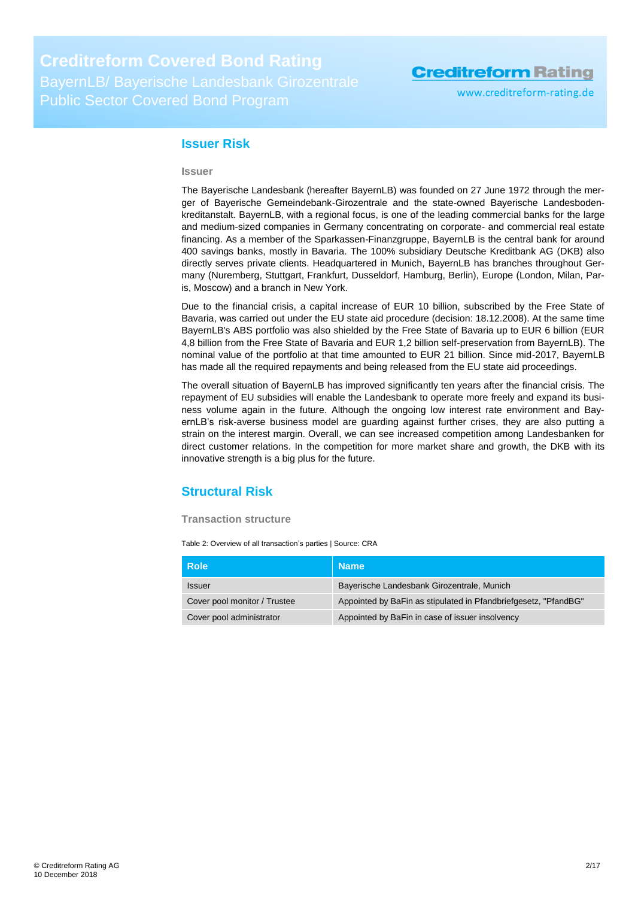www.creditreform-rating.de

### <span id="page-1-0"></span>**Issuer Risk**

#### **Issuer**

The Bayerische Landesbank (hereafter BayernLB) was founded on 27 June 1972 through the merger of Bayerische Gemeindebank-Girozentrale and the state-owned Bayerische Landesbodenkreditanstalt. BayernLB, with a regional focus, is one of the leading commercial banks for the large and medium-sized companies in Germany concentrating on corporate- and commercial real estate financing. As a member of the Sparkassen-Finanzgruppe, BayernLB is the central bank for around 400 savings banks, mostly in Bavaria. The 100% subsidiary Deutsche Kreditbank AG (DKB) also directly serves private clients. Headquartered in Munich, BayernLB has branches throughout Germany (Nuremberg, Stuttgart, Frankfurt, Dusseldorf, Hamburg, Berlin), Europe (London, Milan, Paris, Moscow) and a branch in New York.

Due to the financial crisis, a capital increase of EUR 10 billion, subscribed by the Free State of Bavaria, was carried out under the EU state aid procedure (decision: 18.12.2008). At the same time BayernLB's ABS portfolio was also shielded by the Free State of Bavaria up to EUR 6 billion (EUR 4,8 billion from the Free State of Bavaria and EUR 1,2 billion self-preservation from BayernLB). The nominal value of the portfolio at that time amounted to EUR 21 billion. Since mid-2017, BayernLB has made all the required repayments and being released from the EU state aid proceedings.

The overall situation of BayernLB has improved significantly ten years after the financial crisis. The repayment of EU subsidies will enable the Landesbank to operate more freely and expand its business volume again in the future. Although the ongoing low interest rate environment and BayernLB's risk-averse business model are guarding against further crises, they are also putting a strain on the interest margin. Overall, we can see increased competition among Landesbanken for direct customer relations. In the competition for more market share and growth, the DKB with its innovative strength is a big plus for the future.

### <span id="page-1-1"></span>**Structural Risk**

#### **Transaction structure**

Table 2: Overview of all transaction's parties | Source: CRA

| <b>Role</b>                  | <b>Name</b>                                                     |
|------------------------------|-----------------------------------------------------------------|
| <b>Issuer</b>                | Bayerische Landesbank Girozentrale, Munich                      |
| Cover pool monitor / Trustee | Appointed by BaFin as stipulated in Pfandbriefgesetz, "PfandBG" |
| Cover pool administrator     | Appointed by BaFin in case of issuer insolvency                 |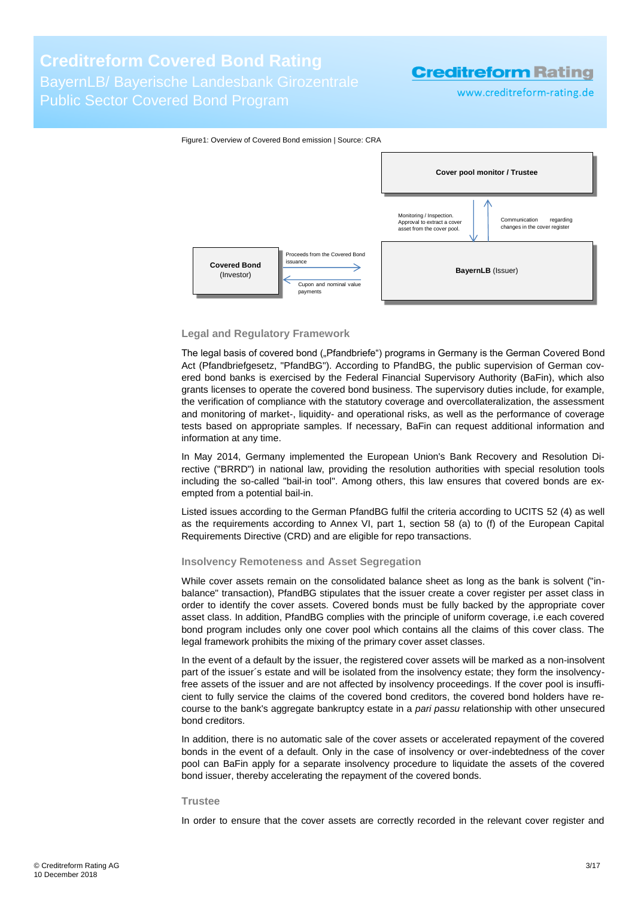BayernLB/ Bayerische Landesbank Girozentrale Public Sector Covered Bond Program

## **Creditreform Rating**

www.creditreform-rating.de



#### **Legal and Regulatory Framework**

The legal basis of covered bond ("Pfandbriefe") programs in Germany is the German Covered Bond Act (Pfandbriefgesetz, "PfandBG"). According to PfandBG, the public supervision of German covered bond banks is exercised by the Federal Financial Supervisory Authority (BaFin), which also grants licenses to operate the covered bond business. The supervisory duties include, for example, the verification of compliance with the statutory coverage and overcollateralization, the assessment and monitoring of market-, liquidity- and operational risks, as well as the performance of coverage tests based on appropriate samples. If necessary, BaFin can request additional information and information at any time.

In May 2014, Germany implemented the European Union's Bank Recovery and Resolution Directive ("BRRD") in national law, providing the resolution authorities with special resolution tools including the so-called "bail-in tool". Among others, this law ensures that covered bonds are exempted from a potential bail-in.

Listed issues according to the German PfandBG fulfil the criteria according to UCITS 52 (4) as well as the requirements according to Annex VI, part 1, section 58 (a) to (f) of the European Capital Requirements Directive (CRD) and are eligible for repo transactions.

#### **Insolvency Remoteness and Asset Segregation**

While cover assets remain on the consolidated balance sheet as long as the bank is solvent ("inbalance" transaction), PfandBG stipulates that the issuer create a cover register per asset class in order to identify the cover assets. Covered bonds must be fully backed by the appropriate cover asset class. In addition, PfandBG complies with the principle of uniform coverage, i.e each covered bond program includes only one cover pool which contains all the claims of this cover class. The legal framework prohibits the mixing of the primary cover asset classes.

In the event of a default by the issuer, the registered cover assets will be marked as a non-insolvent part of the issuer´s estate and will be isolated from the insolvency estate; they form the insolvencyfree assets of the issuer and are not affected by insolvency proceedings. If the cover pool is insufficient to fully service the claims of the covered bond creditors, the covered bond holders have recourse to the bank's aggregate bankruptcy estate in a *pari passu* relationship with other unsecured bond creditors.

In addition, there is no automatic sale of the cover assets or accelerated repayment of the covered bonds in the event of a default. Only in the case of insolvency or over-indebtedness of the cover pool can BaFin apply for a separate insolvency procedure to liquidate the assets of the covered bond issuer, thereby accelerating the repayment of the covered bonds.

#### **Trustee**

In order to ensure that the cover assets are correctly recorded in the relevant cover register and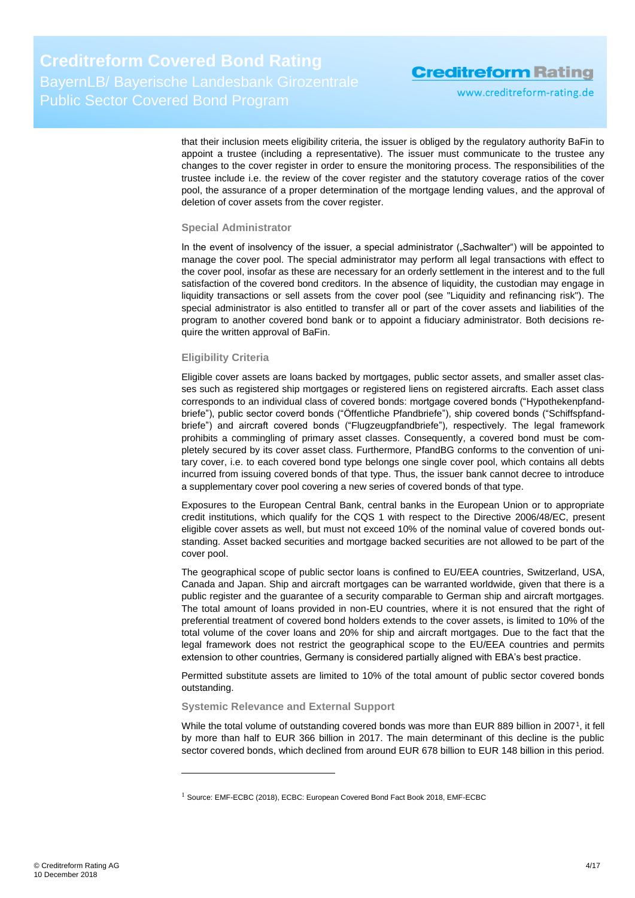www.creditreform-rating.de

that their inclusion meets eligibility criteria, the issuer is obliged by the regulatory authority BaFin to appoint a trustee (including a representative). The issuer must communicate to the trustee any changes to the cover register in order to ensure the monitoring process. The responsibilities of the trustee include i.e. the review of the cover register and the statutory coverage ratios of the cover pool, the assurance of a proper determination of the mortgage lending values, and the approval of deletion of cover assets from the cover register.

#### **Special Administrator**

In the event of insolvency of the issuer, a special administrator ("Sachwalter") will be appointed to manage the cover pool. The special administrator may perform all legal transactions with effect to the cover pool, insofar as these are necessary for an orderly settlement in the interest and to the full satisfaction of the covered bond creditors. In the absence of liquidity, the custodian may engage in liquidity transactions or sell assets from the cover pool (see "Liquidity and refinancing risk"). The special administrator is also entitled to transfer all or part of the cover assets and liabilities of the program to another covered bond bank or to appoint a fiduciary administrator. Both decisions require the written approval of BaFin.

#### **Eligibility Criteria**

Eligible cover assets are loans backed by mortgages, public sector assets, and smaller asset classes such as registered ship mortgages or registered liens on registered aircrafts. Each asset class corresponds to an individual class of covered bonds: mortgage covered bonds ("Hypothekenpfandbriefe"), public sector coverd bonds ("Öffentliche Pfandbriefe"), ship covered bonds ("Schiffspfandbriefe") and aircraft covered bonds ("Flugzeugpfandbriefe"), respectively. The legal framework prohibits a commingling of primary asset classes. Consequently, a covered bond must be completely secured by its cover asset class. Furthermore, PfandBG conforms to the convention of unitary cover, i.e. to each covered bond type belongs one single cover pool, which contains all debts incurred from issuing covered bonds of that type. Thus, the issuer bank cannot decree to introduce a supplementary cover pool covering a new series of covered bonds of that type.

Exposures to the European Central Bank, central banks in the European Union or to appropriate credit institutions, which qualify for the CQS 1 with respect to the Directive 2006/48/EC, present eligible cover assets as well, but must not exceed 10% of the nominal value of covered bonds outstanding. Asset backed securities and mortgage backed securities are not allowed to be part of the cover pool.

The geographical scope of public sector loans is confined to EU/EEA countries, Switzerland, USA, Canada and Japan. Ship and aircraft mortgages can be warranted worldwide, given that there is a public register and the guarantee of a security comparable to German ship and aircraft mortgages. The total amount of loans provided in non-EU countries, where it is not ensured that the right of preferential treatment of covered bond holders extends to the cover assets, is limited to 10% of the total volume of the cover loans and 20% for ship and aircraft mortgages. Due to the fact that the legal framework does not restrict the geographical scope to the EU/EEA countries and permits extension to other countries, Germany is considered partially aligned with EBA's best practice.

Permitted substitute assets are limited to 10% of the total amount of public sector covered bonds outstanding.

#### **Systemic Relevance and External Support**

-

While the total volume of outstanding covered bonds was more than EUR 889 billion in 2007<sup>1</sup>, it fell by more than half to EUR 366 billion in 2017. The main determinant of this decline is the public sector covered bonds, which declined from around EUR 678 billion to EUR 148 billion in this period.

<sup>&</sup>lt;sup>1</sup> Source: EMF-ECBC (2018), ECBC: European Covered Bond Fact Book 2018, EMF-ECBC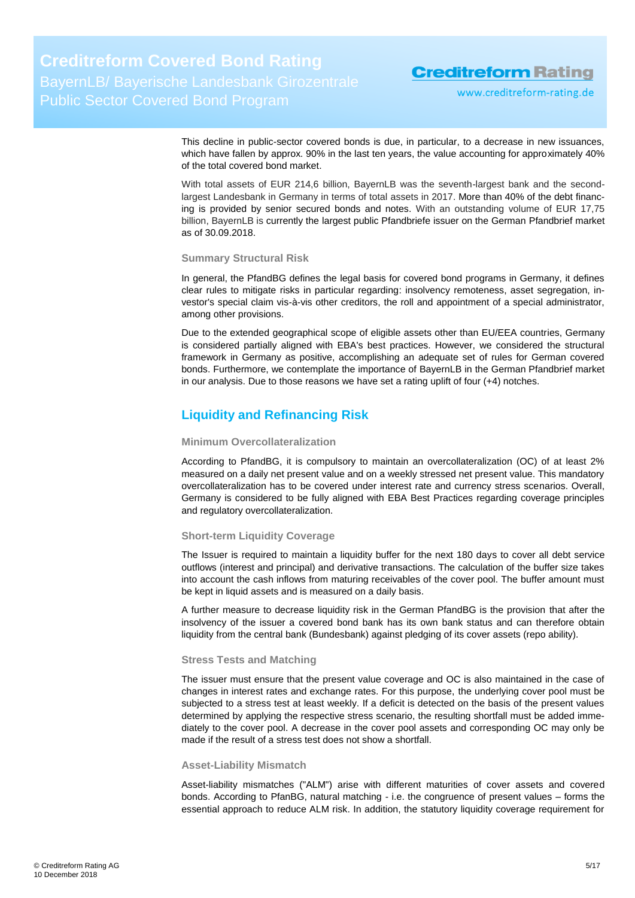www.creditreform-rating.de

This decline in public-sector covered bonds is due, in particular, to a decrease in new issuances, which have fallen by approx. 90% in the last ten years, the value accounting for approximately 40% of the total covered bond market.

With total assets of EUR 214,6 billion, BayernLB was the seventh-largest bank and the secondlargest Landesbank in Germany in terms of total assets in 2017. More than 40% of the debt financing is provided by senior secured bonds and notes. With an outstanding volume of EUR 17,75 billion, BayernLB is currently the largest public Pfandbriefe issuer on the German Pfandbrief market as of 30.09.2018.

#### **Summary Structural Risk**

In general, the PfandBG defines the legal basis for covered bond programs in Germany, it defines clear rules to mitigate risks in particular regarding: insolvency remoteness, asset segregation, investor's special claim vis-à-vis other creditors, the roll and appointment of a special administrator, among other provisions.

Due to the extended geographical scope of eligible assets other than EU/EEA countries, Germany is considered partially aligned with EBA's best practices. However, we considered the structural framework in Germany as positive, accomplishing an adequate set of rules for German covered bonds. Furthermore, we contemplate the importance of BayernLB in the German Pfandbrief market in our analysis. Due to those reasons we have set a rating uplift of four (+4) notches.

### <span id="page-4-0"></span>**Liquidity and Refinancing Risk**

#### **Minimum Overcollateralization**

According to PfandBG, it is compulsory to maintain an overcollateralization (OC) of at least 2% measured on a daily net present value and on a weekly stressed net present value. This mandatory overcollateralization has to be covered under interest rate and currency stress scenarios. Overall, Germany is considered to be fully aligned with EBA Best Practices regarding coverage principles and regulatory overcollateralization.

#### **Short-term Liquidity Coverage**

The Issuer is required to maintain a liquidity buffer for the next 180 days to cover all debt service outflows (interest and principal) and derivative transactions. The calculation of the buffer size takes into account the cash inflows from maturing receivables of the cover pool. The buffer amount must be kept in liquid assets and is measured on a daily basis.

A further measure to decrease liquidity risk in the German PfandBG is the provision that after the insolvency of the issuer a covered bond bank has its own bank status and can therefore obtain liquidity from the central bank (Bundesbank) against pledging of its cover assets (repo ability).

#### **Stress Tests and Matching**

The issuer must ensure that the present value coverage and OC is also maintained in the case of changes in interest rates and exchange rates. For this purpose, the underlying cover pool must be subjected to a stress test at least weekly. If a deficit is detected on the basis of the present values determined by applying the respective stress scenario, the resulting shortfall must be added immediately to the cover pool. A decrease in the cover pool assets and corresponding OC may only be made if the result of a stress test does not show a shortfall.

#### **Asset-Liability Mismatch**

Asset-liability mismatches ("ALM") arise with different maturities of cover assets and covered bonds. According to PfanBG, natural matching - i.e. the congruence of present values – forms the essential approach to reduce ALM risk. In addition, the statutory liquidity coverage requirement for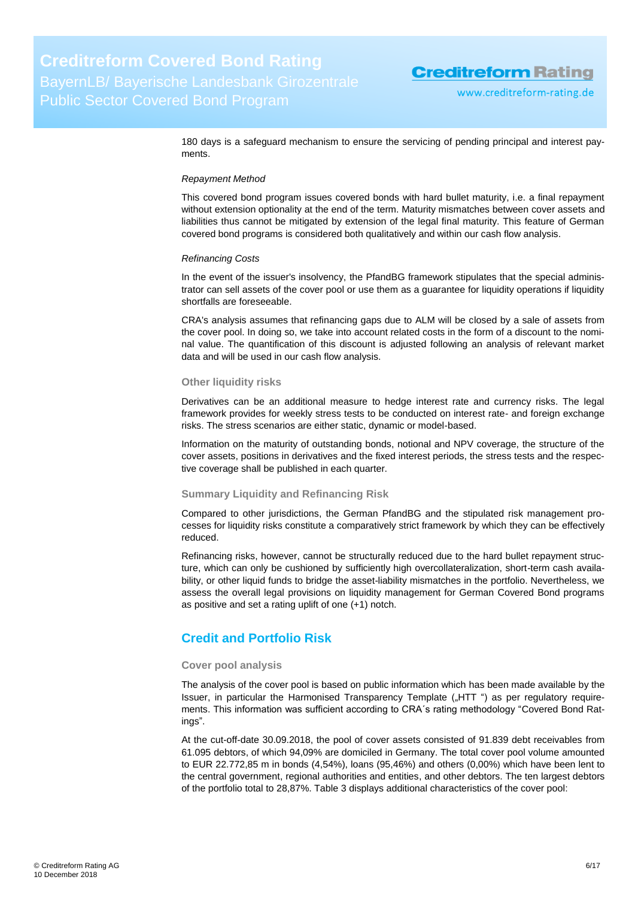180 days is a safeguard mechanism to ensure the servicing of pending principal and interest payments.

#### *Repayment Method*

This covered bond program issues covered bonds with hard bullet maturity, i.e. a final repayment without extension optionality at the end of the term. Maturity mismatches between cover assets and liabilities thus cannot be mitigated by extension of the legal final maturity. This feature of German covered bond programs is considered both qualitatively and within our cash flow analysis.

#### *Refinancing Costs*

In the event of the issuer's insolvency, the PfandBG framework stipulates that the special administrator can sell assets of the cover pool or use them as a guarantee for liquidity operations if liquidity shortfalls are foreseeable.

CRA's analysis assumes that refinancing gaps due to ALM will be closed by a sale of assets from the cover pool. In doing so, we take into account related costs in the form of a discount to the nominal value. The quantification of this discount is adjusted following an analysis of relevant market data and will be used in our cash flow analysis.

#### **Other liquidity risks**

Derivatives can be an additional measure to hedge interest rate and currency risks. The legal framework provides for weekly stress tests to be conducted on interest rate- and foreign exchange risks. The stress scenarios are either static, dynamic or model-based.

Information on the maturity of outstanding bonds, notional and NPV coverage, the structure of the cover assets, positions in derivatives and the fixed interest periods, the stress tests and the respective coverage shall be published in each quarter.

#### **Summary Liquidity and Refinancing Risk**

Compared to other jurisdictions, the German PfandBG and the stipulated risk management processes for liquidity risks constitute a comparatively strict framework by which they can be effectively reduced.

Refinancing risks, however, cannot be structurally reduced due to the hard bullet repayment structure, which can only be cushioned by sufficiently high overcollateralization, short-term cash availability, or other liquid funds to bridge the asset-liability mismatches in the portfolio. Nevertheless, we assess the overall legal provisions on liquidity management for German Covered Bond programs as positive and set a rating uplift of one (+1) notch.

### <span id="page-5-0"></span>**Credit and Portfolio Risk**

#### **Cover pool analysis**

The analysis of the cover pool is based on public information which has been made available by the Issuer, in particular the Harmonised Transparency Template ("HTT") as per requilatory requirements. This information was sufficient according to CRA´s rating methodology "Covered Bond Ratings".

At the cut-off-date 30.09.2018, the pool of cover assets consisted of 91.839 debt receivables from 61.095 debtors, of which 94,09% are domiciled in Germany. The total cover pool volume amounted to EUR 22.772,85 m in bonds (4,54%), loans (95,46%) and others (0,00%) which have been lent to the central government, regional authorities and entities, and other debtors. The ten largest debtors of the portfolio total to 28,87%. [Table 3](#page-6-0) displays additional characteristics of the cover pool: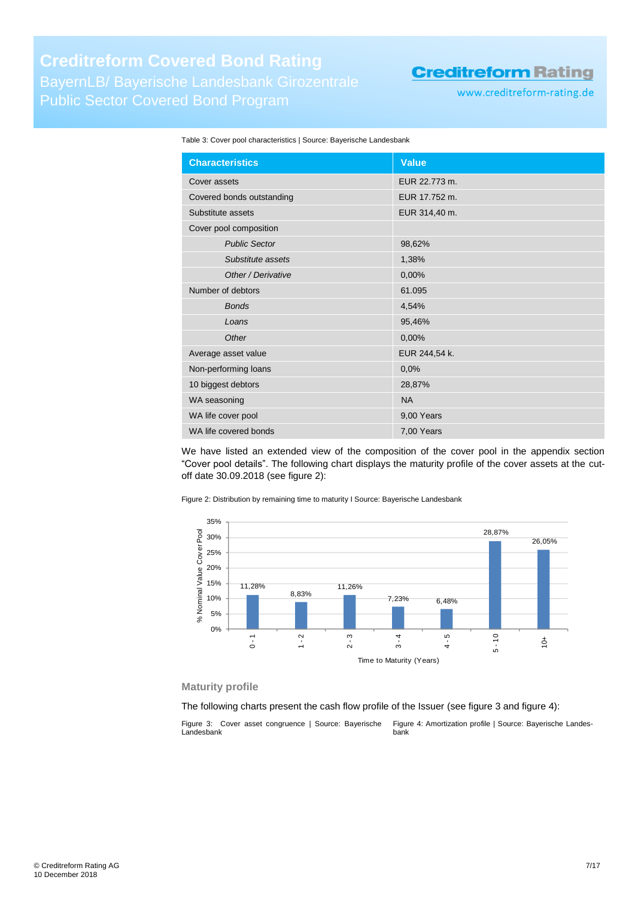www.creditreform-rating.de

#### <span id="page-6-0"></span>Table 3: Cover pool characteristics | Source: Bayerische Landesbank

| <b>Characteristics</b>    | <b>Value</b>  |
|---------------------------|---------------|
| Cover assets              | EUR 22.773 m. |
| Covered bonds outstanding | EUR 17.752 m. |
| Substitute assets         | EUR 314,40 m. |
| Cover pool composition    |               |
| <b>Public Sector</b>      | 98,62%        |
| Substitute assets         | 1,38%         |
| Other / Derivative        | 0,00%         |
| Number of debtors         | 61.095        |
| <b>Bonds</b>              | 4,54%         |
| Loans                     | 95,46%        |
| Other                     | 0,00%         |
| Average asset value       | EUR 244,54 k. |
| Non-performing loans      | 0,0%          |
| 10 biggest debtors        | 28,87%        |
| WA seasoning              | <b>NA</b>     |
| WA life cover pool        | 9,00 Years    |
| WA life covered bonds     | 7,00 Years    |

We have listed an extended view of the composition of the cover pool in the appendix section "Cover pool details". The following chart displays the maturity profile of the cover assets at the cutoff date 30.09.2018 (see [figure 2\)](#page-6-1):

<span id="page-6-1"></span>Figure 2: Distribution by remaining time to maturity I Source: Bayerische Landesbank



#### **Maturity profile**

The following charts present the cash flow profile of the Issuer (see [figure 3](#page-6-2) an[d figure 4\)](#page-6-3):

<span id="page-6-3"></span><span id="page-6-2"></span>Figure 3: Cover asset congruence | Source: Bayerische Landesbank Figure 4: Amortization profile | Source: Bayerische Landesbank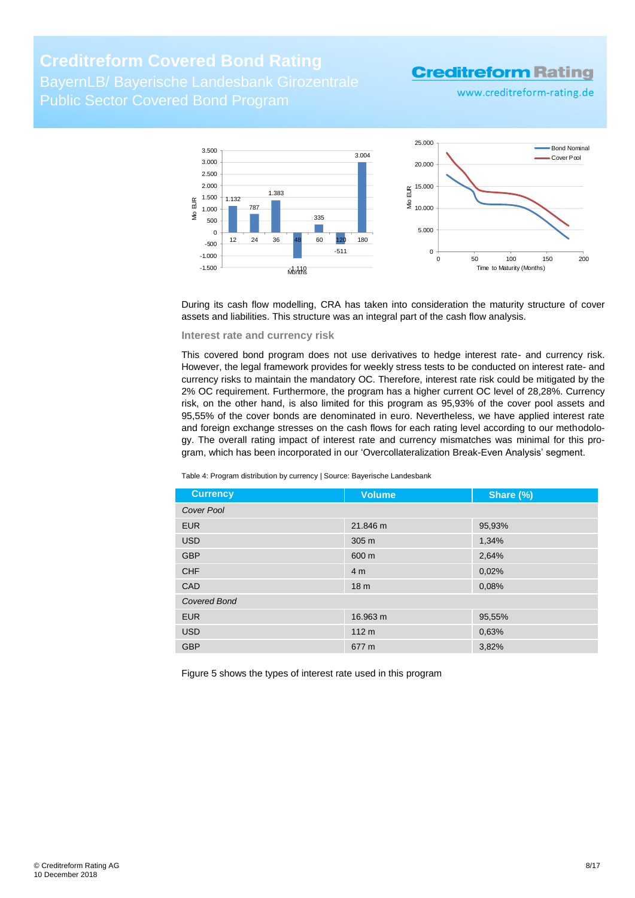BayernLB/ Bayerische Landesbank Girozentrale Public Sector Covered Bond Program

### **Creditreform Rating**

www.creditreform-rating.de



During its cash flow modelling, CRA has taken into consideration the maturity structure of cover assets and liabilities. This structure was an integral part of the cash flow analysis.

#### **Interest rate and currency risk**

This covered bond program does not use derivatives to hedge interest rate- and currency risk. However, the legal framework provides for weekly stress tests to be conducted on interest rate- and currency risks to maintain the mandatory OC. Therefore, interest rate risk could be mitigated by the 2% OC requirement. Furthermore, the program has a higher current OC level of 28,28%. Currency risk, on the other hand, is also limited for this program as 95,93% of the cover pool assets and 95,55% of the cover bonds are denominated in euro. Nevertheless, we have applied interest rate and foreign exchange stresses on the cash flows for each rating level according to our methodology. The overall rating impact of interest rate and currency mismatches was minimal for this program, which has been incorporated in our 'Overcollateralization Break-Even Analysis' segment.

Table 4: Program distribution by currency | Source: Bayerische Landesbank

| <b>Currency</b>     | <b>Volume</b>    | Share (%) |
|---------------------|------------------|-----------|
| Cover Pool          |                  |           |
| <b>EUR</b>          | 21.846 m         | 95,93%    |
| <b>USD</b>          | 305 m            | 1,34%     |
| <b>GBP</b>          | 600 m            | 2,64%     |
| <b>CHF</b>          | 4 <sub>m</sub>   | 0,02%     |
| CAD                 | 18 <sub>m</sub>  | 0,08%     |
| <b>Covered Bond</b> |                  |           |
| <b>EUR</b>          | 16.963 m         | 95,55%    |
| <b>USD</b>          | 112 <sub>m</sub> | 0,63%     |
| <b>GBP</b>          | 677 m            | 3,82%     |

Figure 5 shows the types of interest rate used in this program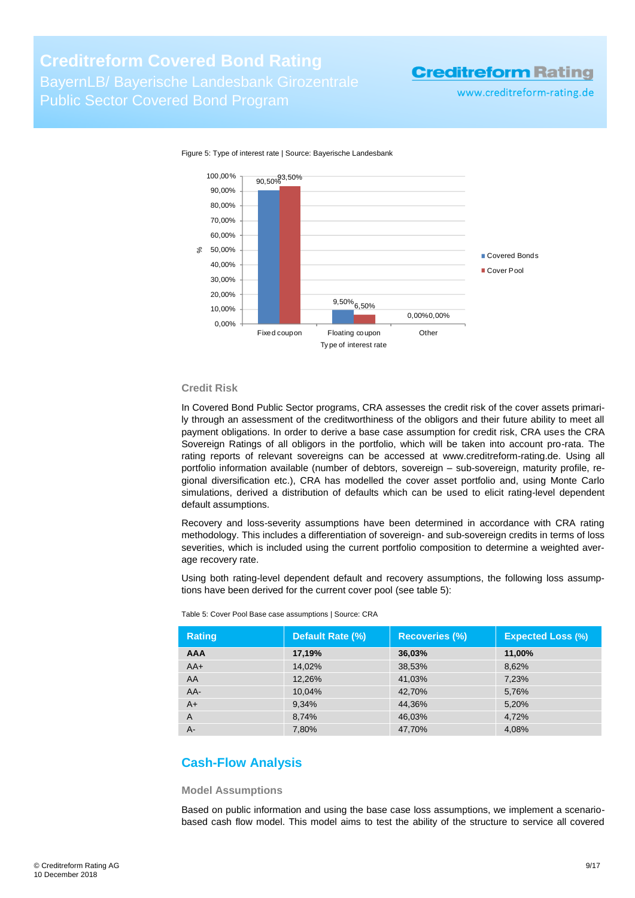# **Creditreform Covered Bond Rating** BayernLB/ Bayerische Landesbank Girozentrale

Public Sector Covered Bond Program

# **Creditreform Rating**

www.creditreform-rating.de



Figure 5: Type of interest rate | Source: Bayerische Landesbank

#### **Credit Risk**

In Covered Bond Public Sector programs, CRA assesses the credit risk of the cover assets primarily through an assessment of the creditworthiness of the obligors and their future ability to meet all payment obligations. In order to derive a base case assumption for credit risk, CRA uses the CRA Sovereign Ratings of all obligors in the portfolio, which will be taken into account pro-rata. The rating reports of relevant sovereigns can be accessed at [www.creditreform-rating.de.](http://www.creditreform-rating.de/) Using all portfolio information available (number of debtors, sovereign – sub-sovereign, maturity profile, regional diversification etc.), CRA has modelled the cover asset portfolio and, using Monte Carlo simulations, derived a distribution of defaults which can be used to elicit rating-level dependent default assumptions.

Recovery and loss-severity assumptions have been determined in accordance with CRA rating methodology. This includes a differentiation of sovereign- and sub-sovereign credits in terms of loss severities, which is included using the current portfolio composition to determine a weighted average recovery rate.

Using both rating-level dependent default and recovery assumptions, the following loss assumptions have been derived for the current cover pool (see [table](#page-8-1) 5):

| <b>Rating</b> | Default Rate (%) | <b>Recoveries (%)</b> | <b>Expected Loss (%)</b> |
|---------------|------------------|-----------------------|--------------------------|
| <b>AAA</b>    | 17,19%           | 36,03%                | 11,00%                   |
| $AA+$         | 14.02%           | 38,53%                | 8,62%                    |
| AA            | 12,26%           | 41,03%                | 7,23%                    |
| AA-           | 10.04%           | 42.70%                | 5,76%                    |
| $A+$          | 9,34%            | 44.36%                | 5,20%                    |
| A             | 8,74%            | 46,03%                | 4,72%                    |
| A-            | 7,80%            | 47,70%                | 4,08%                    |

<span id="page-8-1"></span>Table 5: Cover Pool Base case assumptions | Source: CRA

### <span id="page-8-0"></span>**Cash-Flow Analysis**

#### **Model Assumptions**

Based on public information and using the base case loss assumptions, we implement a scenariobased cash flow model. This model aims to test the ability of the structure to service all covered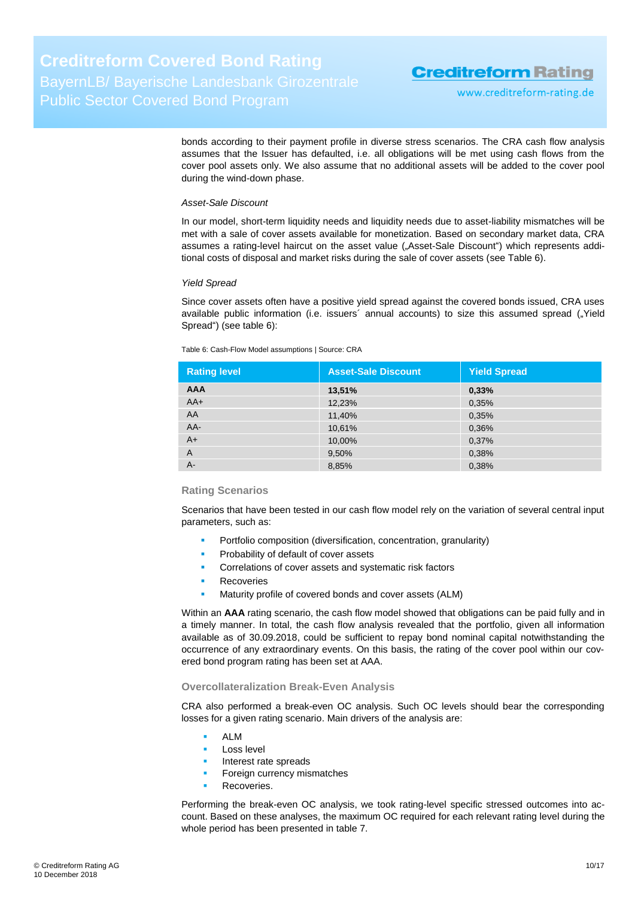www.creditreform-rating.de

bonds according to their payment profile in diverse stress scenarios. The CRA cash flow analysis assumes that the Issuer has defaulted, i.e. all obligations will be met using cash flows from the cover pool assets only. We also assume that no additional assets will be added to the cover pool during the wind-down phase.

#### *Asset-Sale Discount*

In our model, short-term liquidity needs and liquidity needs due to asset-liability mismatches will be met with a sale of cover assets available for monetization. Based on secondary market data, CRA assumes a rating-level haircut on the asset value ("Asset-Sale Discount") which represents additional costs of disposal and market risks during the sale of cover assets (see [Table 6\)](#page-9-0).

#### *Yield Spread*

Since cover assets often have a positive yield spread against the covered bonds issued, CRA uses available public information (i.e. issuers' annual accounts) to size this assumed spread ("Yield" Spread") (see [table 6\)](#page-9-0):

<span id="page-9-0"></span>Table 6: Cash-Flow Model assumptions | Source: CRA

| <b>Rating level</b> | <b>Asset-Sale Discount</b> | <b>Yield Spread</b> |
|---------------------|----------------------------|---------------------|
| <b>AAA</b>          | 13,51%                     | 0,33%               |
| $AA+$               | 12,23%                     | 0,35%               |
| AA                  | 11,40%                     | 0,35%               |
| AA-                 | 10,61%                     | 0,36%               |
| $A+$                | 10,00%                     | 0,37%               |
| $\overline{A}$      | 9,50%                      | 0,38%               |
| $A -$               | 8,85%                      | 0,38%               |

#### **Rating Scenarios**

Scenarios that have been tested in our cash flow model rely on the variation of several central input parameters, such as:

- Portfolio composition (diversification, concentration, granularity)
- Probability of default of cover assets
- Correlations of cover assets and systematic risk factors
- Recoveries
- Maturity profile of covered bonds and cover assets (ALM)

Within an **AAA** rating scenario, the cash flow model showed that obligations can be paid fully and in a timely manner. In total, the cash flow analysis revealed that the portfolio, given all information available as of 30.09.2018, could be sufficient to repay bond nominal capital notwithstanding the occurrence of any extraordinary events. On this basis, the rating of the cover pool within our covered bond program rating has been set at AAA.

#### **Overcollateralization Break-Even Analysis**

CRA also performed a break-even OC analysis. Such OC levels should bear the corresponding losses for a given rating scenario. Main drivers of the analysis are:

- ALM
- **Loss level**
- **Interest rate spreads**
- Foreign currency mismatches
- Recoveries.

Performing the break-even OC analysis, we took rating-level specific stressed outcomes into account. Based on these analyses, the maximum OC required for each relevant rating level during the whole period has been presented in [table 7.](#page-10-1)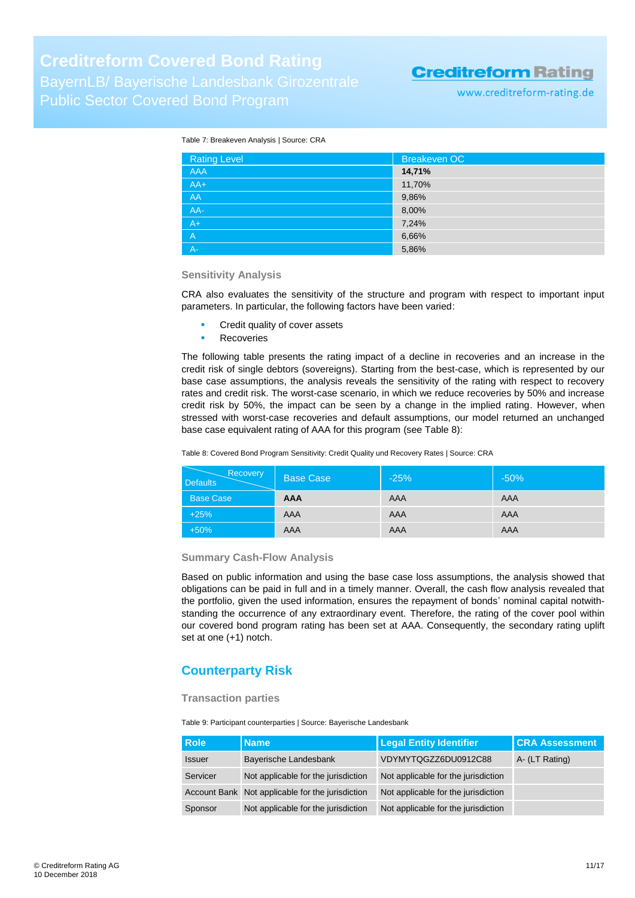www.creditreform-rating.de

#### <span id="page-10-1"></span>Table 7: Breakeven Analysis | Source: CRA

| <b>Rating Level</b> | Breakeven OC |
|---------------------|--------------|
| <b>AAA</b>          | 14,71%       |
| $AA+$               | 11,70%       |
| AA                  | 9,86%        |
| $AA-$               | 8,00%        |
| $A +$               | 7,24%        |
| A,                  | 6,66%        |
| $A -$               | 5,86%        |

#### **Sensitivity Analysis**

CRA also evaluates the sensitivity of the structure and program with respect to important input parameters. In particular, the following factors have been varied:

- Credit quality of cover assets
- Recoveries

The following table presents the rating impact of a decline in recoveries and an increase in the credit risk of single debtors (sovereigns). Starting from the best-case, which is represented by our base case assumptions, the analysis reveals the sensitivity of the rating with respect to recovery rates and credit risk. The worst-case scenario, in which we reduce recoveries by 50% and increase credit risk by 50%, the impact can be seen by a change in the implied rating. However, when stressed with worst-case recoveries and default assumptions, our model returned an unchanged base case equivalent rating of AAA for this program (see [Table 8\)](#page-10-2):

<span id="page-10-2"></span>Table 8: Covered Bond Program Sensitivity: Credit Quality und Recovery Rates | Source: CRA

| Recovery<br><b>Defaults</b> | <b>Base Case</b> | $-25%$ | $-50%$ |
|-----------------------------|------------------|--------|--------|
| <b>Base Case</b>            | <b>AAA</b>       | AAA    | AAA    |
| $+25%$                      | AAA              | AAA    | AAA    |
| $+50%$                      | AAA              | AAA    | AAA    |

#### **Summary Cash-Flow Analysis**

Based on public information and using the base case loss assumptions, the analysis showed that obligations can be paid in full and in a timely manner. Overall, the cash flow analysis revealed that the portfolio, given the used information, ensures the repayment of bonds' nominal capital notwithstanding the occurrence of any extraordinary event. Therefore, the rating of the cover pool within our covered bond program rating has been set at AAA. Consequently, the secondary rating uplift set at one (+1) notch.

### <span id="page-10-0"></span>**Counterparty Risk**

#### **Transaction parties**

Table 9: Participant counterparties | Source: Bayerische Landesbank

| <b>Role</b>   | <b>Name</b>                                      | <b>Legal Entity Identifier</b>      | <b>CRA Assessment</b> |
|---------------|--------------------------------------------------|-------------------------------------|-----------------------|
| <b>Issuer</b> | Bayerische Landesbank                            | VDYMYTQGZZ6DU0912C88                | A- (LT Rating)        |
| Servicer      | Not applicable for the jurisdiction              | Not applicable for the jurisdiction |                       |
|               | Account Bank Not applicable for the jurisdiction | Not applicable for the jurisdiction |                       |
| Sponsor       | Not applicable for the jurisdiction              | Not applicable for the jurisdiction |                       |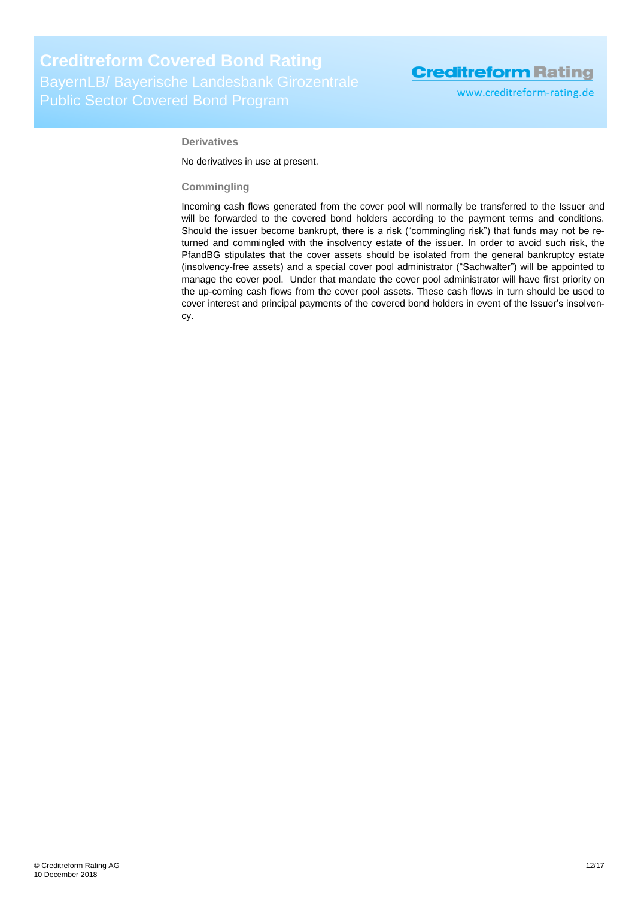www.creditreform-rating.de

#### **Derivatives**

No derivatives in use at present.

#### **Commingling**

Incoming cash flows generated from the cover pool will normally be transferred to the Issuer and will be forwarded to the covered bond holders according to the payment terms and conditions. Should the issuer become bankrupt, there is a risk ("commingling risk") that funds may not be returned and commingled with the insolvency estate of the issuer. In order to avoid such risk, the PfandBG stipulates that the cover assets should be isolated from the general bankruptcy estate (insolvency-free assets) and a special cover pool administrator ("Sachwalter") will be appointed to manage the cover pool. Under that mandate the cover pool administrator will have first priority on the up-coming cash flows from the cover pool assets. These cash flows in turn should be used to cover interest and principal payments of the covered bond holders in event of the Issuer's insolvency.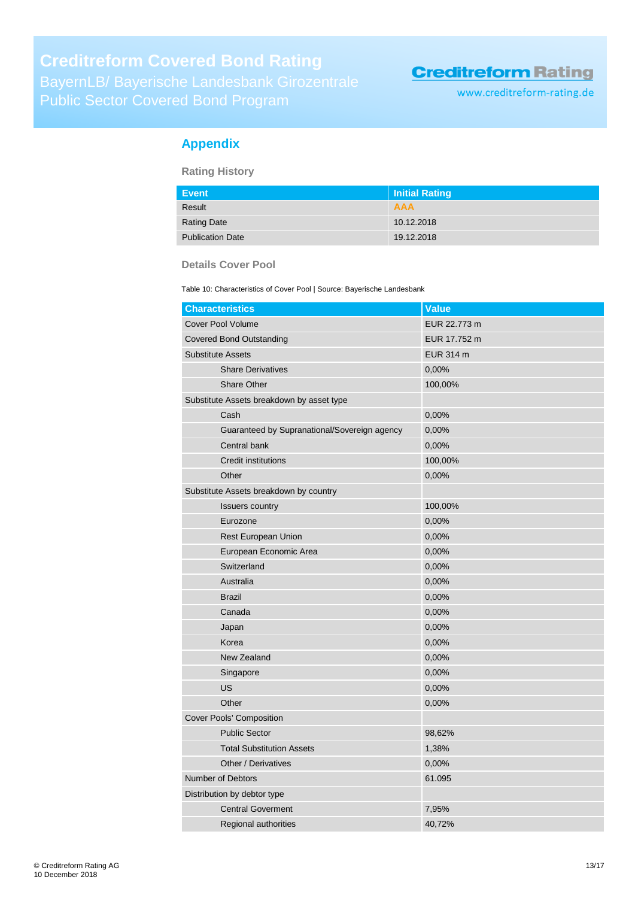www.creditreform-rating.de

### <span id="page-12-0"></span>**Appendix**

**Rating History**

| Event                   | Initial Rating |
|-------------------------|----------------|
| Result                  | <b>AAA</b>     |
| <b>Rating Date</b>      | 10.12.2018     |
| <b>Publication Date</b> | 19.12.2018     |

#### **Details Cover Pool**

Table 10: Characteristics of Cover Pool | Source: Bayerische Landesbank

| <b>Characteristics</b>                       | Value        |
|----------------------------------------------|--------------|
| <b>Cover Pool Volume</b>                     | EUR 22.773 m |
| <b>Covered Bond Outstanding</b>              | EUR 17.752 m |
| <b>Substitute Assets</b>                     | EUR 314 m    |
| <b>Share Derivatives</b>                     | 0,00%        |
| <b>Share Other</b>                           | 100,00%      |
| Substitute Assets breakdown by asset type    |              |
| Cash                                         | 0,00%        |
| Guaranteed by Supranational/Sovereign agency | 0,00%        |
| Central bank                                 | 0,00%        |
| <b>Credit institutions</b>                   | 100,00%      |
| Other                                        | 0,00%        |
| Substitute Assets breakdown by country       |              |
| <b>Issuers country</b>                       | 100,00%      |
| Eurozone                                     | 0,00%        |
| Rest European Union                          | 0,00%        |
| European Economic Area                       | 0,00%        |
| Switzerland                                  | 0,00%        |
| Australia                                    | 0,00%        |
| <b>Brazil</b>                                | 0,00%        |
| Canada                                       | 0,00%        |
| Japan                                        | 0,00%        |
| Korea                                        | 0,00%        |
| New Zealand                                  | 0,00%        |
| Singapore                                    | 0,00%        |
| <b>US</b>                                    | 0,00%        |
| Other                                        | 0,00%        |
| <b>Cover Pools' Composition</b>              |              |
| <b>Public Sector</b>                         | 98,62%       |
| <b>Total Substitution Assets</b>             | 1,38%        |
| Other / Derivatives                          | 0,00%        |
| <b>Number of Debtors</b>                     | 61.095       |
| Distribution by debtor type                  |              |
| <b>Central Goverment</b>                     | 7,95%        |
| <b>Regional authorities</b>                  | 40,72%       |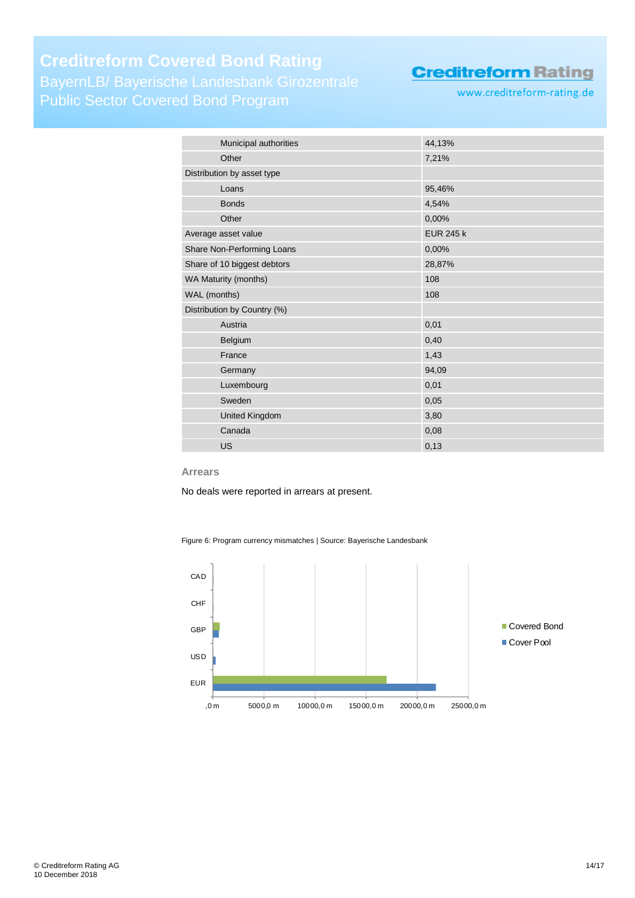Public Sector Covered Bond Program

# **Creditreform Rating**

www.creditreform-rating.de

| Municipal authorities       | 44,13%           |
|-----------------------------|------------------|
| Other                       | 7,21%            |
|                             |                  |
| Distribution by asset type  |                  |
| Loans                       | 95,46%           |
| <b>Bonds</b>                | 4,54%            |
| Other                       | 0,00%            |
| Average asset value         | <b>EUR 245 k</b> |
| Share Non-Performing Loans  | 0,00%            |
| Share of 10 biggest debtors | 28,87%           |
| WA Maturity (months)        | 108              |
| WAL (months)                | 108              |
| Distribution by Country (%) |                  |
| Austria                     | 0,01             |
| Belgium                     | 0,40             |
| France                      | 1,43             |
| Germany                     | 94,09            |
| Luxembourg                  | 0,01             |
| Sweden                      | 0,05             |
| <b>United Kingdom</b>       | 3,80             |
| Canada                      | 0,08             |
| <b>US</b>                   | 0,13             |

#### **Arrears**

No deals were reported in arrears at present.

Figure 6: Program currency mismatches | Source: Bayerische Landesbank

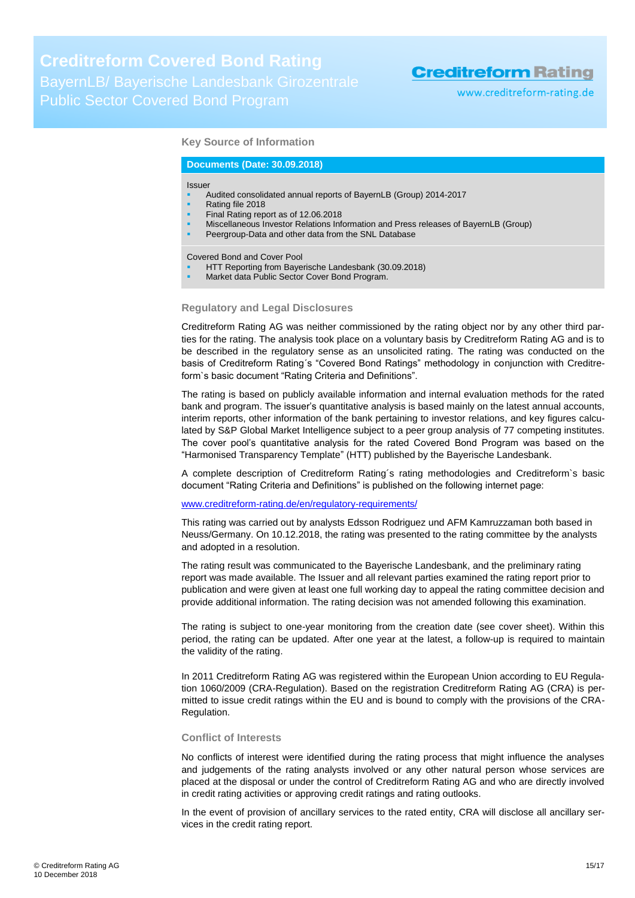www.creditreform-rating.de

#### **Key Source of Information**

#### **Documents (Date: 30.09.2018)**

#### Issuer

- Audited consolidated annual reports of BayernLB (Group) 2014-2017
- Rating file 2018
- Final Rating report as of 12.06.2018
- Miscellaneous Investor Relations Information and Press releases of BayernLB (Group)
- Peergroup-Data and other data from the SNL Database

Covered Bond and Cover Pool

- HTT Reporting from Bayerische Landesbank (30.09.2018)
- Market data Public Sector Cover Bond Program.

#### **Regulatory and Legal Disclosures**

Creditreform Rating AG was neither commissioned by the rating object nor by any other third parties for the rating. The analysis took place on a voluntary basis by Creditreform Rating AG and is to be described in the regulatory sense as an unsolicited rating. The rating was conducted on the basis of Creditreform Rating´s "Covered Bond Ratings" methodology in conjunction with Creditreform`s basic document "Rating Criteria and Definitions".

The rating is based on publicly available information and internal evaluation methods for the rated bank and program. The issuer's quantitative analysis is based mainly on the latest annual accounts, interim reports, other information of the bank pertaining to investor relations, and key figures calculated by S&P Global Market Intelligence subject to a peer group analysis of 77 competing institutes. The cover pool's quantitative analysis for the rated Covered Bond Program was based on the "Harmonised Transparency Template" (HTT) published by the Bayerische Landesbank.

A complete description of Creditreform Rating´s rating methodologies and Creditreform`s basic document "Rating Criteria and Definitions" is published on the following internet page:

#### [www.creditreform-rating.de/](http://www.creditreform-rating.de/)en/regulatory-requirements/

This rating was carried out by analysts Edsson Rodriguez und AFM Kamruzzaman both based in Neuss/Germany. On 10.12.2018, the rating was presented to the rating committee by the analysts and adopted in a resolution.

The rating result was communicated to the Bayerische Landesbank, and the preliminary rating report was made available. The Issuer and all relevant parties examined the rating report prior to publication and were given at least one full working day to appeal the rating committee decision and provide additional information. The rating decision was not amended following this examination.

The rating is subject to one-year monitoring from the creation date (see cover sheet). Within this period, the rating can be updated. After one year at the latest, a follow-up is required to maintain the validity of the rating.

In 2011 Creditreform Rating AG was registered within the European Union according to EU Regulation 1060/2009 (CRA-Regulation). Based on the registration Creditreform Rating AG (CRA) is permitted to issue credit ratings within the EU and is bound to comply with the provisions of the CRA-Regulation.

#### **Conflict of Interests**

No conflicts of interest were identified during the rating process that might influence the analyses and judgements of the rating analysts involved or any other natural person whose services are placed at the disposal or under the control of Creditreform Rating AG and who are directly involved in credit rating activities or approving credit ratings and rating outlooks.

In the event of provision of ancillary services to the rated entity, CRA will disclose all ancillary services in the credit rating report.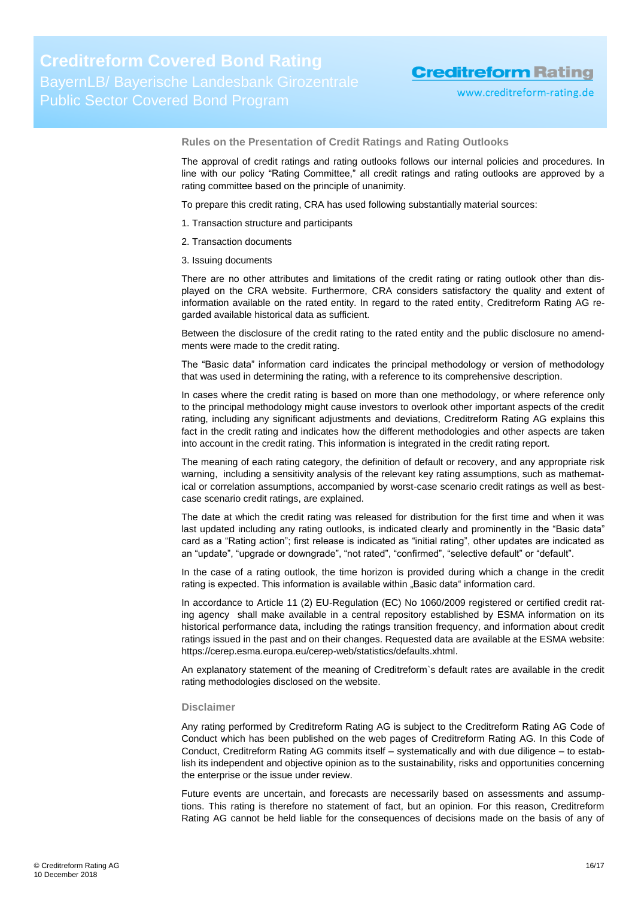www.creditreform-rating.de

**Rules on the Presentation of Credit Ratings and Rating Outlooks**

The approval of credit ratings and rating outlooks follows our internal policies and procedures. In line with our policy "Rating Committee," all credit ratings and rating outlooks are approved by a rating committee based on the principle of unanimity.

To prepare this credit rating, CRA has used following substantially material sources:

- 1. Transaction structure and participants
- 2. Transaction documents
- 3. Issuing documents

There are no other attributes and limitations of the credit rating or rating outlook other than displayed on the CRA website. Furthermore, CRA considers satisfactory the quality and extent of information available on the rated entity. In regard to the rated entity, Creditreform Rating AG regarded available historical data as sufficient.

Between the disclosure of the credit rating to the rated entity and the public disclosure no amendments were made to the credit rating.

The "Basic data" information card indicates the principal methodology or version of methodology that was used in determining the rating, with a reference to its comprehensive description.

In cases where the credit rating is based on more than one methodology, or where reference only to the principal methodology might cause investors to overlook other important aspects of the credit rating, including any significant adjustments and deviations, Creditreform Rating AG explains this fact in the credit rating and indicates how the different methodologies and other aspects are taken into account in the credit rating. This information is integrated in the credit rating report.

The meaning of each rating category, the definition of default or recovery, and any appropriate risk warning, including a sensitivity analysis of the relevant key rating assumptions, such as mathematical or correlation assumptions, accompanied by worst-case scenario credit ratings as well as bestcase scenario credit ratings, are explained.

The date at which the credit rating was released for distribution for the first time and when it was last updated including any rating outlooks, is indicated clearly and prominently in the "Basic data" card as a "Rating action"; first release is indicated as "initial rating", other updates are indicated as an "update", "upgrade or downgrade", "not rated", "confirmed", "selective default" or "default".

In the case of a rating outlook, the time horizon is provided during which a change in the credit rating is expected. This information is available within "Basic data" information card.

In accordance to Article 11 (2) EU-Regulation (EC) No 1060/2009 registered or certified credit rating agency shall make available in a central repository established by ESMA information on its historical performance data, including the ratings transition frequency, and information about credit ratings issued in the past and on their changes. Requested data are available at the ESMA website: https://cerep.esma.europa.eu/cerep-web/statistics/defaults.xhtml.

An explanatory statement of the meaning of Creditreform`s default rates are available in the credit rating methodologies disclosed on the website.

#### **Disclaimer**

Any rating performed by Creditreform Rating AG is subject to the Creditreform Rating AG Code of Conduct which has been published on the web pages of Creditreform Rating AG. In this Code of Conduct, Creditreform Rating AG commits itself – systematically and with due diligence – to establish its independent and objective opinion as to the sustainability, risks and opportunities concerning the enterprise or the issue under review.

Future events are uncertain, and forecasts are necessarily based on assessments and assumptions. This rating is therefore no statement of fact, but an opinion. For this reason, Creditreform Rating AG cannot be held liable for the consequences of decisions made on the basis of any of